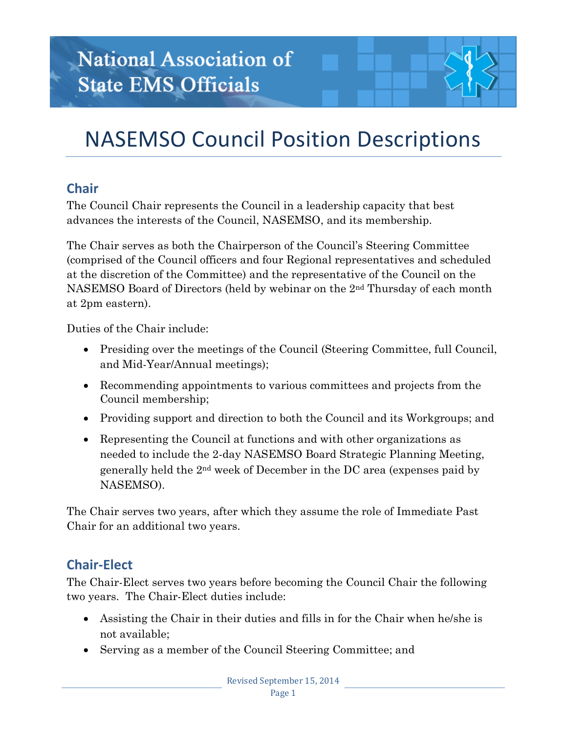# NASEMSO Council Position Descriptions

# **Chair**

The Council Chair represents the Council in a leadership capacity that best advances the interests of the Council, NASEMSO, and its membership.

The Chair serves as both the Chairperson of the Council's Steering Committee (comprised of the Council officers and four Regional representatives and scheduled at the discretion of the Committee) and the representative of the Council on the NASEMSO Board of Directors (held by webinar on the 2nd Thursday of each month at 2pm eastern).

Duties of the Chair include:

- Presiding over the meetings of the Council (Steering Committee, full Council, and Mid-Year/Annual meetings);
- Recommending appointments to various committees and projects from the Council membership;
- Providing support and direction to both the Council and its Workgroups; and
- Representing the Council at functions and with other organizations as needed to include the 2-day NASEMSO Board Strategic Planning Meeting, generally held the 2nd week of December in the DC area (expenses paid by NASEMSO).

The Chair serves two years, after which they assume the role of Immediate Past Chair for an additional two years.

#### **Chair-Elect**

The Chair-Elect serves two years before becoming the Council Chair the following two years. The Chair-Elect duties include:

- Assisting the Chair in their duties and fills in for the Chair when he/she is not available;
- Serving as a member of the Council Steering Committee; and